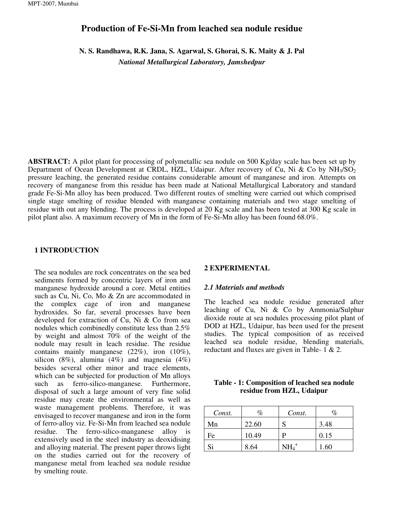# **Production of Fe-Si-Mn from leached sea nodule residue**

**N. S. Randhawa, R.K. Jana, S. Agarwal, S. Ghorai, S. K. Maity & J. Pal**  *National Metallurgical Laboratory, Jamshedpur* 

**ABSTRACT:** A pilot plant for processing of polymetallic sea nodule on 500 Kg/day scale has been set up by Department of Ocean Development at CRDL, HZL, Udaipur. After recovery of Cu, Ni & Co by  $NH<sub>3</sub>/SO<sub>2</sub>$ pressure leaching, the generated residue contains considerable amount of manganese and iron. Attempts on recovery of manganese from this residue has been made at National Metallurgical Laboratory and standard grade Fe-Si-Mn alloy has been produced. Two different routes of smelting were carried out which comprised single stage smelting of residue blended with manganese containing materials and two stage smelting of residue with out any blending. The process is developed at 20 Kg scale and has been tested at 300 Kg scale in pilot plant also. A maximum recovery of Mn in the form of Fe-Si-Mn alloy has been found 68.0%.

#### **1 INTRODUCTION**

The sea nodules are rock concentrates on the sea bed sediments formed by concentric layers of iron and manganese hydroxide around a core. Metal entities such as Cu, Ni, Co, Mo & Zn are accommodated in the complex cage of iron and manganese hydroxides. So far, several processes have been developed for extraction of Cu, Ni & Co from sea nodules which combinedly constitute less than 2.5% by weight and almost 70% of the weight of the nodule may result in leach residue. The residue contains mainly manganese (22%), iron (10%), silicon (8%), alumina (4%) and magnesia (4%) besides several other minor and trace elements, which can be subjected for production of Mn alloys such as ferro-silico-manganese. Furthermore, disposal of such a large amount of very fine solid residue may create the environmental as well as waste management problems. Therefore, it was envisaged to recover manganese and iron in the form of ferro-alloy viz. Fe-Si-Mn from leached sea nodule residue. The ferro-silico-manganese alloy is extensively used in the steel industry as deoxidising and alloying material. The present paper throws light on the studies carried out for the recovery of manganese metal from leached sea nodule residue by smelting route.

#### **2 EXPERIMENTAL**

#### *2.1 Materials and methods*

The leached sea nodule residue generated after leaching of Cu, Ni & Co by Ammonia/Sulphur dioxide route at sea nodules processing pilot plant of DOD at HZL, Udaipur, has been used for the present studies. The typical composition of as received leached sea nodule residue, blending materials, reductant and fluxes are given in Table- 1 & 2.

#### **Table - 1: Composition of leached sea nodule residue from HZL, Udaipur**

| Const. | $\%$  | Const. | %    |
|--------|-------|--------|------|
| Mn     | 22.60 | S      | 3.48 |
| Fe     | 10.49 | P      | 0.15 |
| Si     | 8.64  |        | 1.60 |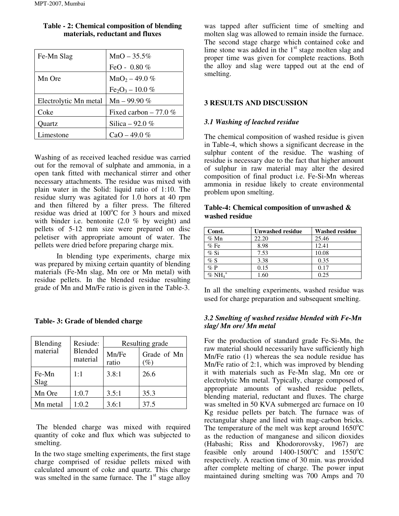| Fe-Mn Slag            | $MnO - 35.5%$          |
|-----------------------|------------------------|
|                       | FeO - $0.80\%$         |
| Mn Ore                | $MnO2 - 49.0 %$        |
|                       | $Fe2O3 - 10.0 %$       |
| Electrolytic Mn metal | Mn – 99.90 $%$         |
| Coke                  | Fixed carbon $-77.0\%$ |
| Ouartz                | Silica – 92.0 %        |
| Limestone             | $CaO - 49.0\%$         |

# **Table - 2: Chemical composition of blending materials, reductant and fluxes**

Washing of as received leached residue was carried out for the removal of sulphate and ammonia, in a open tank fitted with mechanical stirrer and other necessary attachments. The residue was mixed with plain water in the Solid: liquid ratio of 1:10. The residue slurry was agitated for 1.0 hors at 40 rpm and then filtered by a filter press. The filtered residue was dried at  $100^{\circ}$ C for  $\overline{3}$  hours and mixed with binder i.e. bentonite (2.0 % by weight) and pellets of 5-12 mm size were prepared on disc peletiser with appropriate amount of water. The pellets were dried before preparing charge mix.

In blending type experiments, charge mix was prepared by mixing certain quantity of blending materials (Fe-Mn slag, Mn ore or Mn metal) with residue pellets. In the blended residue resulting grade of Mn and Mn/Fe ratio is given in the Table-3.

| Blending      | Resiude:<br>Blended<br>material | Resulting grade |                                    |  |
|---------------|---------------------------------|-----------------|------------------------------------|--|
| material      |                                 | Mn/Fe<br>ratio  | Grade of Mn<br>$\left( \% \right)$ |  |
| Fe-Mn<br>Slag | 1:1                             | 3.8:1           | 26.6                               |  |
| Mn Ore        | 1:0.7                           | 3.5:1           | 35.3                               |  |
| Mn metal      | 1:0.2                           | 3.6:1           | 37.5                               |  |

 The blended charge was mixed with required quantity of coke and flux which was subjected to smelting.

In the two stage smelting experiments, the first stage charge comprised of residue pellets mixed with calculated amount of coke and quartz. This charge was smelted in the same furnace. The  $1<sup>st</sup>$  stage alloy

was tapped after sufficient time of smelting and molten slag was allowed to remain inside the furnace. The second stage charge which contained coke and lime stone was added in the  $1<sup>st</sup>$  stage molten slag and proper time was given for complete reactions. Both the alloy and slag were tapped out at the end of smelting.

# **3 RESULTS AND DISCUSSION**

# *3.1 Washing of leached residue*

The chemical composition of washed residue is given in Table-4, which shows a significant decrease in the sulphur content of the residue. The washing of residue is necessary due to the fact that higher amount of sulphur in raw material may alter the desired composition of final product i.e. Fe-Si-Mn whereas ammonia in residue likely to create environmental problem upon smelting.

# **Table-4: Chemical composition of unwashed & washed residue**

| Const.    | Unwashed residue | <b>Washed residue</b> |
|-----------|------------------|-----------------------|
| $%$ Mn    | 22.20            | 25.46                 |
| %Fe       | 8.98             | 12.41                 |
| $%$ Si    | 7.53             | 10.08                 |
| % S       | 3.38             | 0.35                  |
| $\%$ P    | 0.15             | 0.17                  |
| $%NH_4^+$ | 1.60             | 0.25                  |

In all the smelting experiments, washed residue was used for charge preparation and subsequent smelting.

# *3.2 Smelting of washed residue blended with Fe-Mn slag/ Mn ore/ Mn metal*

For the production of standard grade Fe-Si-Mn, the raw material should necessarily have sufficiently high Mn/Fe ratio (1) whereas the sea nodule residue has Mn/Fe ratio of 2:1, which was improved by blending it with materials such as Fe-Mn slag, Mn ore or electrolytic Mn metal. Typically, charge composed of appropriate amounts of washed residue pellets, blending material, reductant and fluxes. The charge was smelted in 50 KVA submerged arc furnace on 10 Kg residue pellets per batch. The furnace was of rectangular shape and lined with mag-carbon bricks. The temperature of the melt was kept around  $1650^{\circ}$ C as the reduction of manganese and silicon dioxides (Habashi; Riss and Khodororovsky, 1967) are feasible only around  $1400-1500^{\circ}\text{C}$  and  $1550^{\circ}\text{C}$ respectively. A reaction time of 30 min. was provided after complete melting of charge. The power input maintained during smelting was 700 Amps and 70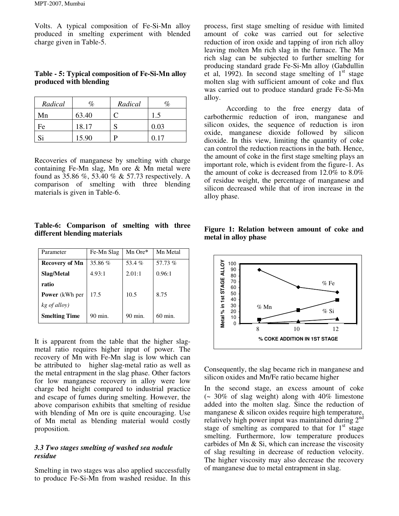Volts. A typical composition of Fe-Si-Mn alloy produced in smelting experiment with blended charge given in Table-5.

#### **Table - 5: Typical composition of Fe-Si-Mn alloy produced with blending**

| Radical | %     | Radical | %    |
|---------|-------|---------|------|
| Mn      | 63.40 |         | 1.5  |
| Fe      | 18.17 |         | 0.03 |
| Si      | 15.90 |         | በ 17 |

Recoveries of manganese by smelting with charge containing Fe-Mn slag, Mn ore & Mn metal were found as 35.86 %, 53.40 % & 57.73 respectively. A comparison of smelting with three blending materials is given in Table-6.

**Table-6: Comparison of smelting with three different blending materials** 

| Parameter             | Fe-Mn Slag | Mn Ore* | Mn Metal  |
|-----------------------|------------|---------|-----------|
| Recovery of Mn        | 35.86 %    | 53.4%   | 57.73 %   |
| Slag/Metal            | 4.93:1     | 2.01:1  | 0.96:1    |
| ratio                 |            |         |           |
| <b>Power</b> (kWh per | 17.5       | 10.5    | 8.75      |
| kg of alloy)          |            |         |           |
| <b>Smelting Time</b>  | 90 min.    | 90 min. | $60$ min. |

It is apparent from the table that the higher slagmetal ratio requires higher input of power. The recovery of Mn with Fe-Mn slag is low which can be attributed to higher slag-metal ratio as well as the metal entrapment in the slag phase. Other factors for low manganese recovery in alloy were low charge bed height compared to industrial practice and escape of fumes during smelting. However, the above comparison exhibits that smelting of residue with blending of Mn ore is quite encouraging. Use of Mn metal as blending material would costly proposition.

# *3.3 Two stages smelting of washed sea nodule residue*

Smelting in two stages was also applied successfully to produce Fe-Si-Mn from washed residue. In this process, first stage smelting of residue with limited amount of coke was carried out for selective reduction of iron oxide and tapping of iron rich alloy leaving molten Mn rich slag in the furnace. The Mn rich slag can be subjected to further smelting for producing standard grade Fe-Si-Mn alloy (Gabdullin et al, 1992). In second stage smelting of  $1<sup>st</sup>$  stage molten slag with sufficient amount of coke and flux was carried out to produce standard grade Fe-Si-Mn alloy.

According to the free energy data of carbothermic reduction of iron, manganese and silicon oxides, the sequence of reduction is iron oxide, manganese dioxide followed by silicon dioxide. In this view, limiting the quantity of coke can control the reduction reactions in the bath. Hence, the amount of coke in the first stage smelting plays an important role, which is evident from the figure-1. As the amount of coke is decreased from 12.0% to 8.0% of residue weight, the percentage of manganese and silicon decreased while that of iron increase in the alloy phase.



**Figure 1: Relation between amount of coke and metal in alloy phase** 

Consequently, the slag became rich in manganese and silicon oxides and Mn/Fe ratio became higher

In the second stage, an excess amount of coke (~ 30% of slag weight) along with 40% limestone added into the molten slag. Since the reduction of manganese & silicon oxides require high temperature, relatively high power input was maintained during  $2^{nd}$ stage of smelting as compared to that for  $1<sup>st</sup>$  stage smelting. Furthermore, low temperature produces carbides of Mn & Si, which can increase the viscosity of slag resulting in decrease of reduction velocity. The higher viscosity may also decrease the recovery of manganese due to metal entrapment in slag.